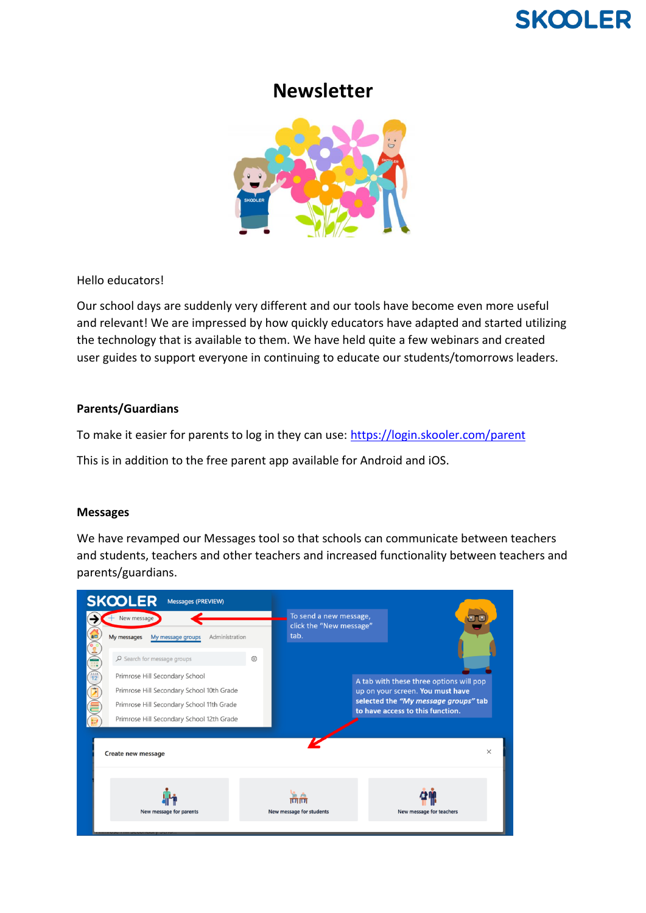# **SKOOLER**

# **Newsletter**



Hello educators!

Our school days are suddenly very different and our tools have become even more useful and relevant! We are impressed by how quickly educators have adapted and started utilizing the technology that is available to them. We have held quite a few webinars and created user guides to support everyone in continuing to educate our students/tomorrows leaders.

### **Parents/Guardians**

To make it easier for parents to log in they can use:<https://login.skooler.com/parent>

This is in addition to the free parent app available for Android and iOS.

#### **Messages**

We have revamped our Messages tool so that schools can communicate between teachers and students, teachers and other teachers and increased functionality between teachers and parents/guardians.

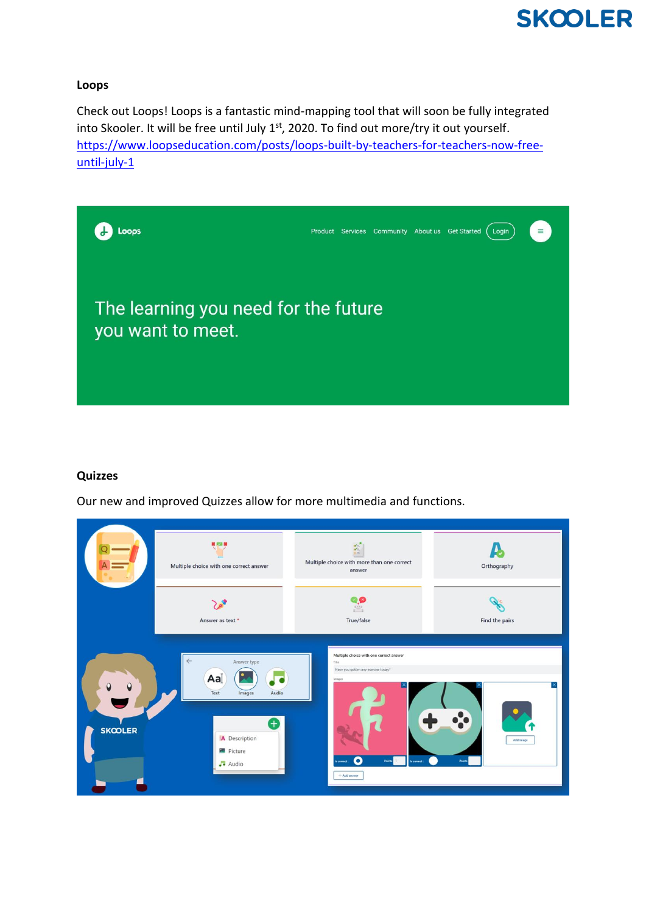

#### **Loops**

Check out Loops! Loops is a fantastic mind-mapping tool that will soon be fully integrated into Skooler. It will be free until July 1st, 2020. To find out more/try it out yourself. [https://www.loopseducation.com/posts/loops-built-by-teachers-for-teachers-now-free](https://www.loopseducation.com/posts/loops-built-by-teachers-for-teachers-now-free-until-july-1)[until-july-1](https://www.loopseducation.com/posts/loops-built-by-teachers-for-teachers-now-free-until-july-1)



#### **Quizzes**

Our new and improved Quizzes allow for more multimedia and functions.